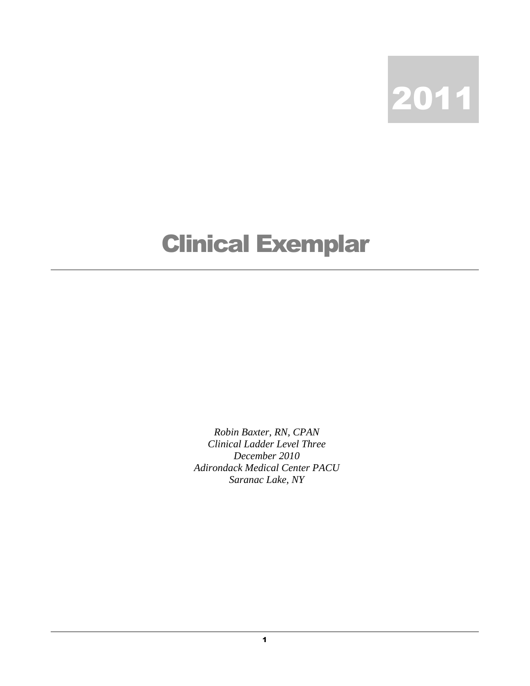

## Clinical Exemplar

*Robin Baxter, RN, CPAN Clinical Ladder Level Three December 2010 Adirondack Medical Center PACU Saranac Lake, NY*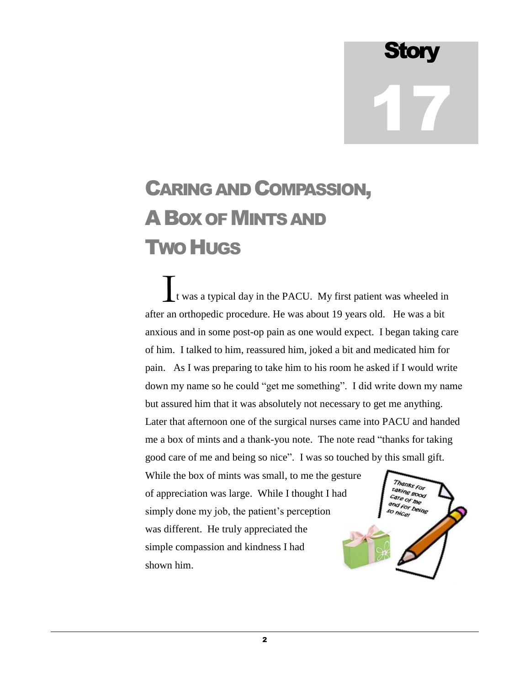**Story** 17

## CARING AND COMPASSION, ABOX OF MINTS AND TWO HUGS

t was a typical day in the PACU. My first patient was wheeled in after an orthopedic procedure. He was about 19 years old. He was a bit anxious and in some post-op pain as one would expect. I began taking care of him. I talked to him, reassured him, joked a bit and medicated him for pain. As I was preparing to take him to his room he asked if I would write down my name so he could "get me something". I did write down my name but assured him that it was absolutely not necessary to get me anything. Later that afternoon one of the surgical nurses came into PACU and handed me a box of mints and a thank-you note. The note read "thanks for taking good care of me and being so nice". I was so touched by this small gift. I

While the box of mints was small, to me the gesture of appreciation was large. While I thought I had simply done my job, the patient's perception was different. He truly appreciated the simple compassion and kindness I had shown him.

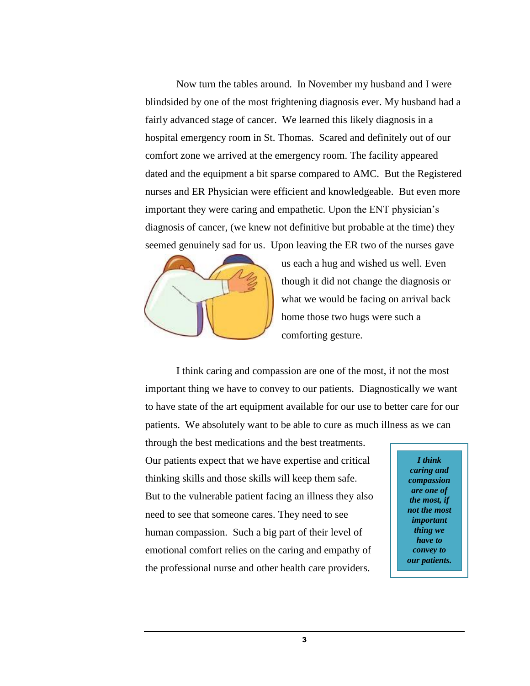Now turn the tables around. In November my husband and I were blindsided by one of the most frightening diagnosis ever. My husband had a fairly advanced stage of cancer. We learned this likely diagnosis in a hospital emergency room in St. Thomas. Scared and definitely out of our comfort zone we arrived at the emergency room. The facility appeared dated and the equipment a bit sparse compared to AMC. But the Registered nurses and ER Physician were efficient and knowledgeable. But even more important they were caring and empathetic. Upon the ENT physician's diagnosis of cancer, (we knew not definitive but probable at the time) they seemed genuinely sad for us. Upon leaving the ER two of the nurses gave



us each a hug and wished us well. Even though it did not change the diagnosis or what we would be facing on arrival back home those two hugs were such a comforting gesture.

I think caring and compassion are one of the most, if not the most important thing we have to convey to our patients. Diagnostically we want to have state of the art equipment available for our use to better care for our patients. We absolutely want to be able to cure as much illness as we can

through the best medications and the best treatments. Our patients expect that we have expertise and critical thinking skills and those skills will keep them safe. But to the vulnerable patient facing an illness they also need to see that someone cares. They need to see human compassion. Such a big part of their level of emotional comfort relies on the caring and empathy of the professional nurse and other health care providers.

*I think caring and compassion are one of the most, if not the most important thing we have to convey to our patients.*